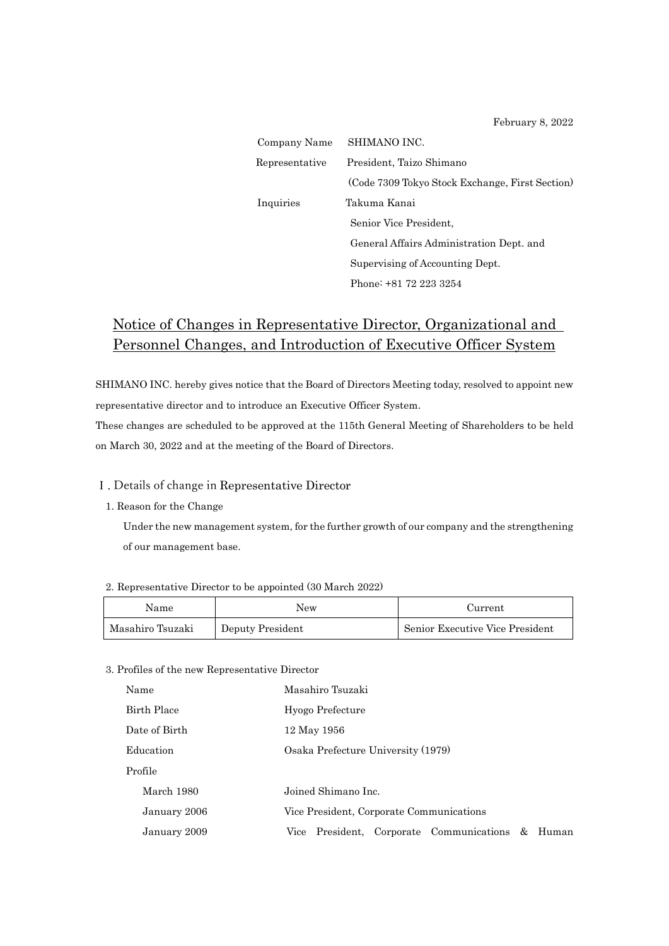February 8, 2022

| Company Name   | SHIMANO INC.                                    |
|----------------|-------------------------------------------------|
| Representative | President, Taizo Shimano                        |
|                | (Code 7309 Tokyo Stock Exchange, First Section) |
| Inquiries      | Takuma Kanai                                    |
|                | Senior Vice President,                          |
|                | General Affairs Administration Dept. and        |
|                | Supervising of Accounting Dept.                 |
|                | Phone: +81 72 223 3254                          |

# Notice of Changes in Representative Director, Organizational and Personnel Changes, and Introduction of Executive Officer System

SHIMANO INC. hereby gives notice that the Board of Directors Meeting today, resolved to appoint new representative director and to introduce an Executive Officer System.

These changes are scheduled to be approved at the 115th General Meeting of Shareholders to be held on March 30, 2022 and at the meeting of the Board of Directors.

#### Ⅰ. Details of change in Representative Director

#### 1. Reason for the Change

Under the new management system, for the further growth of our company and the strengthening of our management base.

#### 2. Representative Director to be appointed (30 March 2022)

| Name             | New              | Current                         |
|------------------|------------------|---------------------------------|
| Masahiro Tsuzaki | Deputy President | Senior Executive Vice President |

#### 3. Profiles of the new Representative Director

| Name          | Masahiro Tsuzaki                                       |  |  |
|---------------|--------------------------------------------------------|--|--|
| Birth Place   | Hyogo Prefecture                                       |  |  |
| Date of Birth | 12 May 1956                                            |  |  |
| Education     | Osaka Prefecture University (1979)                     |  |  |
| Profile       |                                                        |  |  |
| March 1980    | Joined Shimano Inc.                                    |  |  |
| January 2006  | Vice President, Corporate Communications               |  |  |
| January 2009  | President, Corporate Communications &<br>Human<br>Vice |  |  |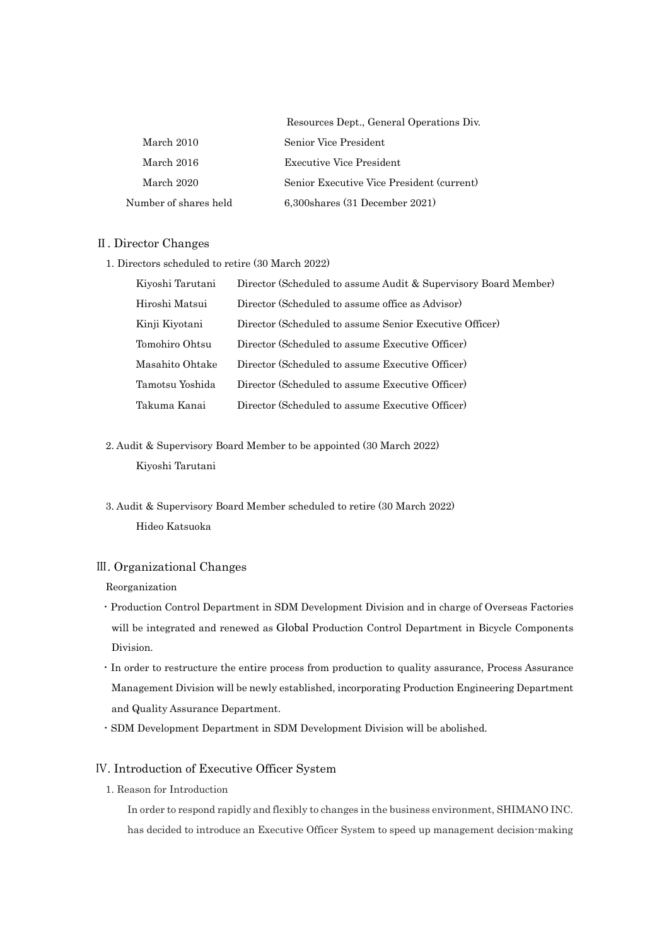|                       | Resources Dept., General Operations Div.  |
|-----------------------|-------------------------------------------|
| March 2010            | Senior Vice President                     |
| March 2016            | <b>Executive Vice President</b>           |
| March 2020            | Senior Executive Vice President (current) |
| Number of shares held | $6,300$ shares $(31$ December $2021)$     |

#### Ⅱ. Director Changes

1. Directors scheduled to retire (30 March 2022)

| Kiyoshi Tarutani | Director (Scheduled to assume Audit & Supervisory Board Member) |
|------------------|-----------------------------------------------------------------|
| Hiroshi Matsui   | Director (Scheduled to assume office as Advisor)                |
| Kinji Kiyotani   | Director (Scheduled to assume Senior Executive Officer)         |
| Tomohiro Ohtsu   | Director (Scheduled to assume Executive Officer)                |
| Masahito Ohtake  | Director (Scheduled to assume Executive Officer)                |
| Tamotsu Yoshida  | Director (Scheduled to assume Executive Officer)                |
| Takuma Kanai     | Director (Scheduled to assume Executive Officer)                |

2. Audit & Supervisory Board Member to be appointed (30 March 2022) Kiyoshi Tarutani

3. Audit & Supervisory Board Member scheduled to retire (30 March 2022) Hideo Katsuoka

#### Ⅲ. Organizational Changes

Reorganization

- ・Production Control Department in SDM Development Division and in charge of Overseas Factories will be integrated and renewed as Global Production Control Department in Bicycle Components Division.
- ・In order to restructure the entire process from production to quality assurance, Process Assurance Management Division will be newly established, incorporating Production Engineering Department and Quality Assurance Department.
- ・SDM Development Department in SDM Development Division will be abolished.

## Ⅳ. Introduction of Executive Officer System

1. Reason for Introduction

In order to respond rapidly and flexibly to changes in the business environment, SHIMANO INC. has decided to introduce an Executive Officer System to speed up management decision-making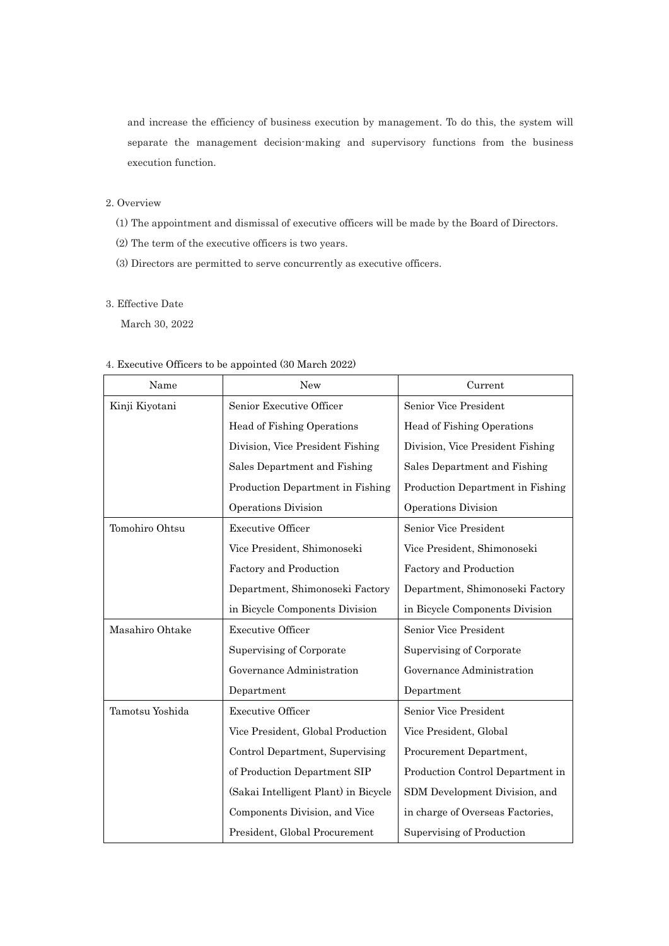and increase the efficiency of business execution by management. To do this, the system will separate the management decision-making and supervisory functions from the business execution function.

### 2. Overview

- (1) The appointment and dismissal of executive officers will be made by the Board of Directors.
- (2) The term of the executive officers is two years.
- (3) Directors are permitted to serve concurrently as executive officers.

# 3. Effective Date

March 30, 2022

#### 4. Executive Officers to be appointed (30 March 2022)

| Name            | <b>New</b>                           | Current                          |
|-----------------|--------------------------------------|----------------------------------|
| Kinji Kiyotani  | Senior Executive Officer             | Senior Vice President            |
|                 | Head of Fishing Operations           | Head of Fishing Operations       |
|                 | Division, Vice President Fishing     | Division, Vice President Fishing |
|                 | Sales Department and Fishing         | Sales Department and Fishing     |
|                 | Production Department in Fishing     | Production Department in Fishing |
|                 | Operations Division                  | Operations Division              |
| Tomohiro Ohtsu  | <b>Executive Officer</b>             | Senior Vice President            |
|                 | Vice President, Shimonoseki          | Vice President, Shimonoseki      |
|                 | Factory and Production               | Factory and Production           |
|                 | Department, Shimonoseki Factory      | Department, Shimonoseki Factory  |
|                 | in Bicycle Components Division       | in Bicycle Components Division   |
| Masahiro Ohtake | <b>Executive Officer</b>             | Senior Vice President            |
|                 | Supervising of Corporate             | Supervising of Corporate         |
|                 | Governance Administration            | Governance Administration        |
|                 | Department                           | Department                       |
| Tamotsu Yoshida | <b>Executive Officer</b>             | Senior Vice President            |
|                 | Vice President, Global Production    | Vice President, Global           |
|                 | Control Department, Supervising      | Procurement Department,          |
|                 | of Production Department SIP         | Production Control Department in |
|                 | (Sakai Intelligent Plant) in Bicycle | SDM Development Division, and    |
|                 | Components Division, and Vice        | in charge of Overseas Factories, |
|                 | President, Global Procurement        | Supervising of Production        |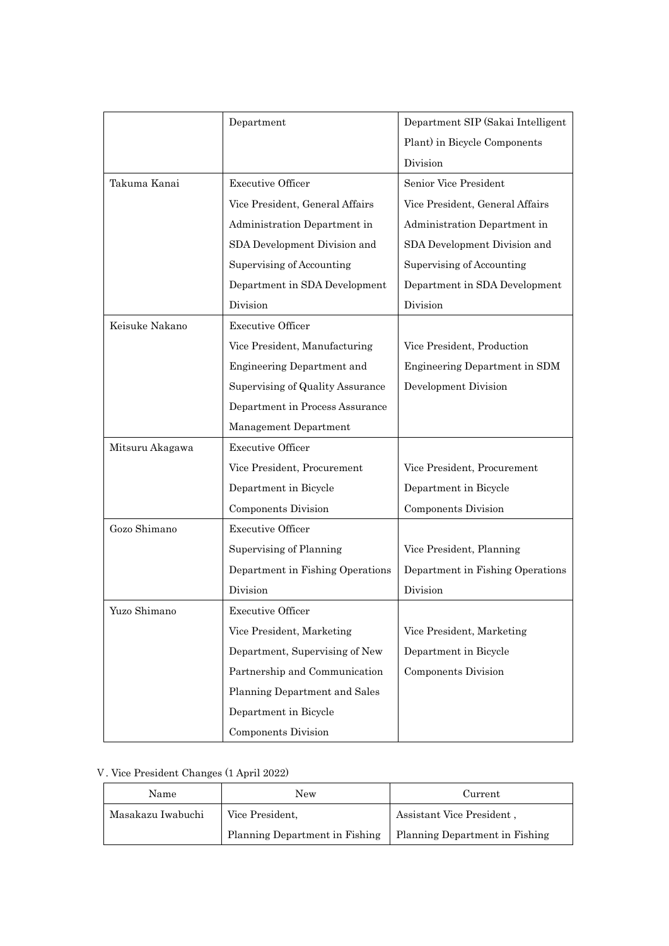|                 | Department                       | Department SIP (Sakai Intelligent |
|-----------------|----------------------------------|-----------------------------------|
|                 |                                  | Plant) in Bicycle Components      |
|                 |                                  | Division                          |
| Takuma Kanai    | <b>Executive Officer</b>         | Senior Vice President             |
|                 | Vice President, General Affairs  | Vice President, General Affairs   |
|                 | Administration Department in     | Administration Department in      |
|                 | SDA Development Division and     | SDA Development Division and      |
|                 | Supervising of Accounting        | Supervising of Accounting         |
|                 | Department in SDA Development    | Department in SDA Development     |
|                 | Division                         | Division                          |
| Keisuke Nakano  | <b>Executive Officer</b>         |                                   |
|                 | Vice President, Manufacturing    | Vice President, Production        |
|                 | Engineering Department and       | Engineering Department in SDM     |
|                 | Supervising of Quality Assurance | Development Division              |
|                 | Department in Process Assurance  |                                   |
|                 | Management Department            |                                   |
| Mitsuru Akagawa | <b>Executive Officer</b>         |                                   |
|                 | Vice President, Procurement      | Vice President, Procurement       |
|                 | Department in Bicycle            | Department in Bicycle             |
|                 | Components Division              | Components Division               |
| Gozo Shimano    | <b>Executive Officer</b>         |                                   |
|                 | Supervising of Planning          | Vice President, Planning          |
|                 | Department in Fishing Operations | Department in Fishing Operations  |
|                 | Division                         | Division                          |
| Yuzo Shimano    | Executive Officer                |                                   |
|                 | Vice President, Marketing        | Vice President, Marketing         |
|                 | Department, Supervising of New   | Department in Bicycle             |
|                 | Partnership and Communication    | <b>Components Division</b>        |
|                 | Planning Department and Sales    |                                   |
|                 | Department in Bicycle            |                                   |
|                 | Components Division              |                                   |

# Ⅴ. Vice President Changes (1 April 2022)

| Name                                 | New                            | Current                        |
|--------------------------------------|--------------------------------|--------------------------------|
| Masakazu Iwabuchi<br>Vice President, |                                | Assistant Vice President,      |
|                                      | Planning Department in Fishing | Planning Department in Fishing |